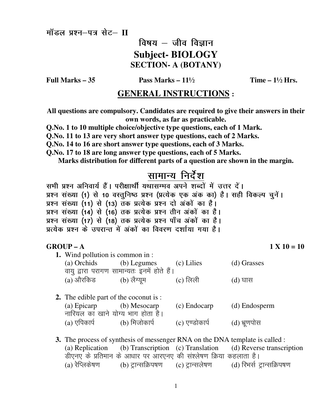मॉडल प्रश्न–पत्र सेट– II

## विषय $-$  जीव विज्ञान **Subject-BIOLOGY SECTION- A (BOTANY)**

Full Marks  $-35$ 

Pass Marks  $-11\frac{1}{2}$ 

Time  $-1\frac{1}{2}$  Hrs.

## **GENERAL INSTRUCTIONS:**

All questions are compulsory. Candidates are required to give their answers in their own words, as far as practicable.

Q.No. 1 to 10 multiple choice/objective type questions, each of 1 Mark.

O.No. 11 to 13 are very short answer type questions, each of 2 Marks.

Q.No. 14 to 16 are short answer type questions, each of 3 Marks.

Q.No. 17 to 18 are long answer type questions, each of 5 Marks.

Marks distribution for different parts of a question are shown in the margin.

# <u>सामान्य</u> निर्देश

सभी प्रश्न अनिवार्य हैं। परीक्षार्थी यथासम्भव अपने शब्दों में उत्तर दें। प्रश्न संख्या (1) से 10 वस्तुनिष्ठ प्रश्न (प्रत्येक एक अंक का) है। सही विकल्प चुनें। प्रश्न संख्या (11) से (13) तक प्रत्येक प्रश्न दो अंकों का है। प्रश्न संख्या (14) से (16) तक प्रत्येक प्रश्न तीन अंकों का है। प्रश्न संख्या (17) से (18) तक प्रत्येक प्रश्न पाँच अंकों का है। प्रत्येक प्रश्न के उपरान्त में अंकों का विवरण दर्शाया गया है।

#### $GROUP - A$

 $1 X 10 = 10$ 

- 1. Wind pollution is common in: (a) Orchids (b) Legumes (c) Lilies (d) Grasses वायु द्वारा परागण सामान्यतः इनमें होते हैं। (b) लैग्युम (a) औरकिड  $(c)$  लिली  $(d)$  घास
- 2. The edible part of the coconut is: (b) Mesocarp  $(a)$  Epicarp (c) Endocarp (d) Endosperm नारियल का खाने योग्य भाग होता है। (b) मिजोकार्प  $(a)$  एपिकार्प  $(c)$  एण्डोकार्प (d) भ्रूणपोस
- 3. The process of synthesis of messenger RNA on the DNA template is called : (a) Replication (b) Transcription (c) Translation (d) Reverse transcription डीएनए के प्रतिमान के आधार पर आरएनए की संश्लेषण क्रिया कहलाता है।  $(a)$  रेप्लिकेषण (b) ट्रान्सक्रिपषण (c) ट्रान्सलेषण (d) रिभर्स ट्रान्सक्रिपषण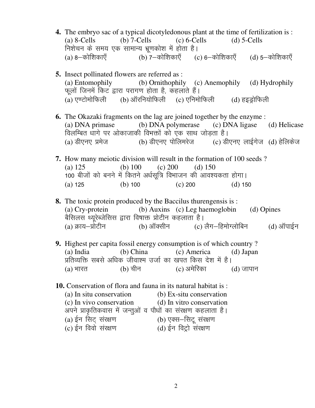- **4.** The embryo sac of a typical dicotyledonous plant at the time of fertilization is : (a)  $8$ -Cells (b)  $7$ -Cells (c)  $6$ -Cells (d)  $5$ -Cells निशेचन के समय एक सामान्य भ्रणकोश में होता है। (a) 8—कोशिकाएँ (b) 7—कोशिकाएँ (c) 6—कोशिकाएँ (d) 5—कोशिकाएँ
- **5.** Insect pollinated flowers are referred as : (a) Entomophily (b) Ornithophily (c) Anemophily (d) Hydrophily फूलों जिनमें किट द्वारा परागण होता है, कहलाते हैं।<br>(a) एण्टोमोफिली (b) ऑरनियोफिली (c) एनिमो  $(b)$  ऑरनियोफिली  $(c)$  एनिमोफिली  $(d)$  हइड्रोफिली
- **6.** The Okazaki fragments on the lag are joined together by the enzyme : (a) DNA primase (b) DNA polymerase (c) DNA ligase (d) Helicase विलम्बित धागे पर ओकाजाकी विभक्तों को एक साथ जोडता है। (a) डीएनए प्रमेज (b) डीएनए पोलिमरेज (c) डीएनए लाईगेज (d) हेलिकेज
- **7.** How many meiotic division will result in the formation of 100 seeds ? (a)  $125$  (b)  $100$  (c)  $200$  (d)  $150$ 100 बीजों को बनने में कितने अर्धसूत्रि विभाजन की आवश्यकता होगा। (a) 125 (b) 100 (c) 200 (d) 150
- **8.** The toxic protein produced by the Baccilus thurengensis is : (a) Cry-protein (b) Auxins (c) Leg haemoglobin (d) Opines वैसिलस थ्यूरेब्जेसिस द्वारा विषाक्त प्रोटीन कहलाता है।<br>(a) क्राय-प्रोटीन (b) ऑक्सीन (c) (a) क्राय–प्रोटीन (b) ऑक्सीन (c) लैग–हिमोग्लोबिन (d) ऑपाईन
- **9.** Highest per capita fossil energy consumption is of which country ?<br>(a) India (b) China (c) America (d) Japan (a) India (b) China (c) America (d) Japan प्रतिव्यक्ति सबसे अधिक जीवाश्म उर्जा का खपत किस देश में है।  $(a)$  भारत  $(b)$  चीन  $(c)$  अमेरिका  $(d)$  जापान
- **10.** Conservation of flora and fauna in its natural habitat is : (a) In situ conservation (b) Ex-situ conservation (c) In vivo conservation (d) In vitro conservation (c) In vivo conservation (d) In vitro conservation अपने प्राकृतिकवास में जन्तुओं व पौधों का संरक्षण कहलाता है।<br>(a) ईन सिट् संरक्षण (b) एक्स–सिट् संरक्षण (a) ईन सिट् संरक्षण (b) एक्स–सिटू संरक्षण<br>(c) ईन विवो संरक्षण (d) ईन विट्रो संरक्षण  $(d)$ ईन विट्रो संरक्षण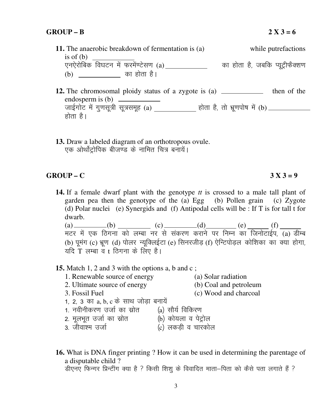- **11.** The anaerobic breakdown of fermentation is (a) while putrefactions is of (b) ,u, sjk sfcd fo?kVu e sa Qje s a.V sl.k (a) dk gk srk g S] tcfd I; wVªhQSD'k.k (b) dk gk srk g SA
- **12.** The chromosomal ploidy status of a zygote is (a) \_\_\_\_\_\_\_\_\_\_\_ then of the endosperm is (b) जाईगोट में गुणसूत्री सूत्रसमूह (a) \_\_\_\_\_\_\_\_\_\_\_ होता है, तो भ्रूणपोष में (b). होता $\hat{B}$ ।
- **13.** Draw a labeled diagram of an orthotropous ovule. एक ओर्थोट्रोपिक बीजण्ड के नामित चित्र बनायें।

#### GROUP – C  $3 X 3 = 9$

**14.** If a female dwarf plant with the genotype *tt* is crossed to a male tall plant of garden pea then the genotype of the (a) Egg (b) Pollen grain (c) Zygote (d) Polar nuclei (e) Synergids and (f) Antipodal cells will be : If T is for tall t for dwarb.

(a) (b) (c) (c) (d) (e) (f) मटर में एक ठिगना को लम्बा नर से संकरण कराने पर निम्न का जिनोटाईप, (a) डीम्ब (b) पूमंग (c) भ्रूण (d) पोलर न्यूक्लिईटा (e) सिनरजीड़ (f) ऐन्टिपोड़ल कोशिका का क्या होगा, यदि T लम्बा व t ठिगना के लिए है।

### **15.** Match 1, 2 and 3 with the options a, b and c ;

- 1. Renewable source of energy (a) Solar radiation<br>
2. Ultimate source of energy (b) Coal and petroleum
- 2. Ultimate source of energy
- 
- 
- 
- 3. Fossil Fuel (c) Wood and charcoal
- 1, 2, 3 का a, b, c के साथ जोड़ा बनायें
- $1.$  नवीनीकरण उर्जा का स्रोत  $\qquad$  (a) सौर्य विकिरण
- 
- $2.$  मूलभूत उर्जा का स्रोत  $\begin{pmatrix} 0 & 0 \ 0 & 0 & 0 \end{pmatrix}$  कोयला व पेट्रोल<br>3. जीवाश्म उर्जा  $\alpha$   $\alpha$ ) लकड़ी व चारकोल
- **16.** What is DNA finger printing ? How it can be used in determining the parentage of a disputable child ? डीएनए फिन्गर प्रिन्टींग क्या है ? किसी शिशू के विवादित माता-पिता को कैसे पता लगाते हैं ?